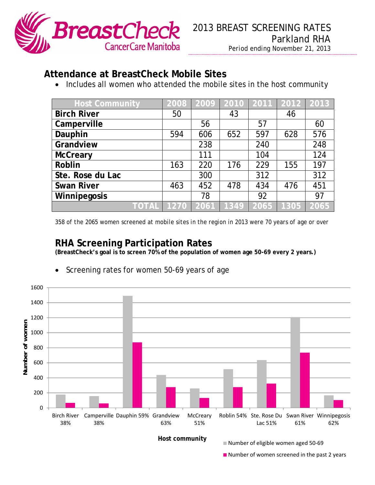

## **Attendance at BreastCheck Mobile Sites**

• Includes all women who attended the mobile sites in the host community

| <b>Host Community</b> | 2008 | 2009          | 2010 | 2011 | 2012 2013 |      |
|-----------------------|------|---------------|------|------|-----------|------|
| <b>Birch River</b>    | 50   |               | 43   |      | 46        |      |
| Camperville           |      | 56            |      | 57   |           | 60   |
| Dauphin               | 594  | 606           | 652  | 597  | 628       | 576  |
| Grandview             |      | 238           |      | 240  |           | 248  |
| <b>McCreary</b>       |      | 111           |      | 104  |           | 124  |
| Roblin                | 163  | 220           | 176  | 229  | 155       | 197  |
| Ste. Rose du Lac      |      | 300           |      | 312  |           | 312  |
| <b>Swan River</b>     | 463  | 452           | 478  | 434  | 476       | 451  |
| Winnipegosis          |      | 78            |      | 92   |           | 97   |
| TOTAL                 | 1270 | $\sqrt{2061}$ | 1349 | 2065 | 1305      | 2065 |

*358 of the 2065 women screened at mobile sites in the region in 2013 were 70 years of age or over* 

## **RHA Screening Participation Rates**

**(BreastCheck's goal is to screen 70% of the population of women age 50-69 every 2 years.)** 



Screening rates for women 50-69 years of age